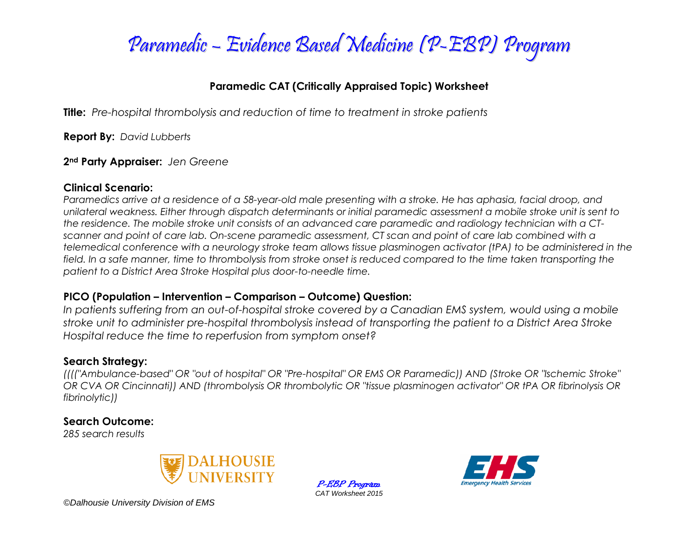

## **Paramedic CAT (Critically Appraised Topic) Worksheet**

**Title:** *Pre-hospital thrombolysis and reduction of time to treatment in stroke patients*

**Report By:** *David Lubberts*

### **2nd Party Appraiser:** *Jen Greene*

### **Clinical Scenario:**

*Paramedics arrive at a residence of a 58-year-old male presenting with a stroke. He has aphasia, facial droop, and unilateral weakness. Either through dispatch determinants or initial paramedic assessment a mobile stroke unit is sent to the residence. The mobile stroke unit consists of an advanced care paramedic and radiology technician with a CTscanner and point of care lab. On-scene paramedic assessment, CT scan and point of care lab combined with a telemedical conference with a neurology stroke team allows tissue plasminogen activator (tPA) to be administered in the*  field. In a safe manner, time to thrombolysis from stroke onset is reduced compared to the time taken transporting the *patient to a District Area Stroke Hospital plus door-to-needle time.*

### **PICO (Population – Intervention – Comparison – Outcome) Question:**

*In patients suffering from an out-of-hospital stroke covered by a Canadian EMS system, would using a mobile stroke unit to administer pre-hospital thrombolysis instead of transporting the patient to a District Area Stroke Hospital reduce the time to reperfusion from symptom onset?* 

### **Search Strategy:**

*(((("Ambulance-based" OR "out of hospital" OR "Pre-hospital" OR EMS OR Paramedic)) AND (Stroke OR "Ischemic Stroke" OR CVA OR Cincinnati)) AND (thrombolysis OR thrombolytic OR "tissue plasminogen activator" OR tPA OR fibrinolysis OR fibrinolytic))*

## **Search Outcome:**

*285 search results*



P-EBP Program *CAT Worksheet 2015*



*©Dalhousie University Division of EMS*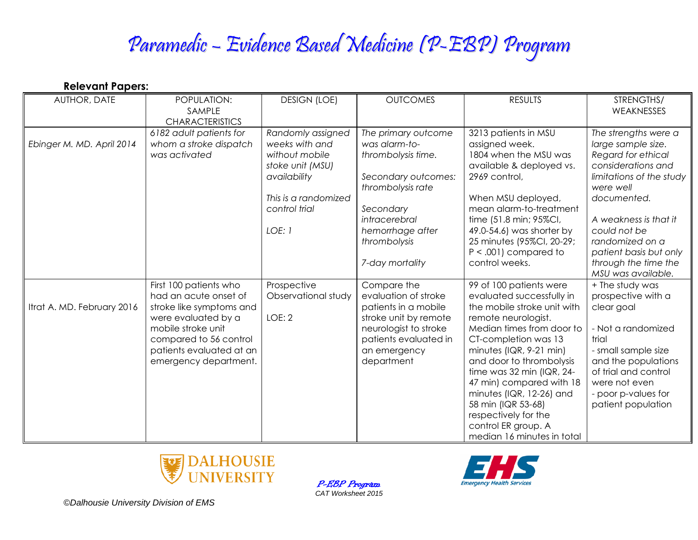# Paramedic – Evidence Based Medicine (P-EBP) Program

**Relevant Papers:**

| AUTHOR, DATE               | POPULATION:<br>SAMPLE<br><b>CHARACTERISTICS</b>                                                                                                                                                         | <b>DESIGN (LOE)</b>                                                                                                                          | <b>OUTCOMES</b>                                                                                                                                                                             | <b>RESULTS</b>                                                                                                                                                                                                                                                                                                                                                                                                   | STRENGTHS/<br>WEAKNESSES                                                                                                                                                                                                                                                           |
|----------------------------|---------------------------------------------------------------------------------------------------------------------------------------------------------------------------------------------------------|----------------------------------------------------------------------------------------------------------------------------------------------|---------------------------------------------------------------------------------------------------------------------------------------------------------------------------------------------|------------------------------------------------------------------------------------------------------------------------------------------------------------------------------------------------------------------------------------------------------------------------------------------------------------------------------------------------------------------------------------------------------------------|------------------------------------------------------------------------------------------------------------------------------------------------------------------------------------------------------------------------------------------------------------------------------------|
| Ebinger M. MD. April 2014  | 6182 adult patients for<br>whom a stroke dispatch<br>was activated                                                                                                                                      | Randomly assigned<br>weeks with and<br>without mobile<br>stoke unit (MSU)<br>availability<br>This is a randomized<br>control trial<br>LOE: 1 | The primary outcome<br>was alarm-to-<br>thrombolysis time.<br>Secondary outcomes:<br>thrombolysis rate<br>Secondary<br>intracerebral<br>hemorrhage after<br>thrombolysis<br>7-day mortality | 3213 patients in MSU<br>assigned week.<br>1804 when the MSU was<br>available & deployed vs.<br>2969 control,<br>When MSU deployed,<br>mean alarm-to-treatment<br>time (51.8 min; 95%Cl,<br>49.0-54.6) was shorter by<br>25 minutes (95%Cl, 20-29;<br>$P < .001$ ) compared to<br>control weeks.                                                                                                                  | The strengths were a<br>large sample size.<br>Regard for ethical<br>considerations and<br>limitations of the study<br>were well<br>documented.<br>A weakness is that it<br>could not be<br>randomized on a<br>patient basis but only<br>through the time the<br>MSU was available. |
| Itrat A. MD. February 2016 | First 100 patients who<br>had an acute onset of<br>stroke like symptoms and<br>were evaluated by a<br>mobile stroke unit<br>compared to 56 control<br>patients evaluated at an<br>emergency department. | Prospective<br>Observational study<br>LOE: 2                                                                                                 | Compare the<br>evaluation of stroke<br>patients in a mobile<br>stroke unit by remote<br>neurologist to stroke<br>patients evaluated in<br>an emergency<br>department                        | 99 of 100 patients were<br>evaluated successfully in<br>the mobile stroke unit with<br>remote neurologist.<br>Median times from door to<br>CT-completion was 13<br>minutes $(IQR, 9-21$ min)<br>and door to thrombolysis<br>time was 32 min (IQR, 24-<br>47 min) compared with 18<br>minutes (IQR, 12-26) and<br>58 min (IQR 53-68)<br>respectively for the<br>control ER group. A<br>median 16 minutes in total | + The study was<br>prospective with a<br>clear goal<br>- Not a randomized<br>trial<br>- small sample size<br>and the populations<br>of trial and control<br>were not even<br>- poor p-values for<br>patient population                                                             |



P-EBP Program *CAT Worksheet 2015*



*©Dalhousie University Division of EMS*